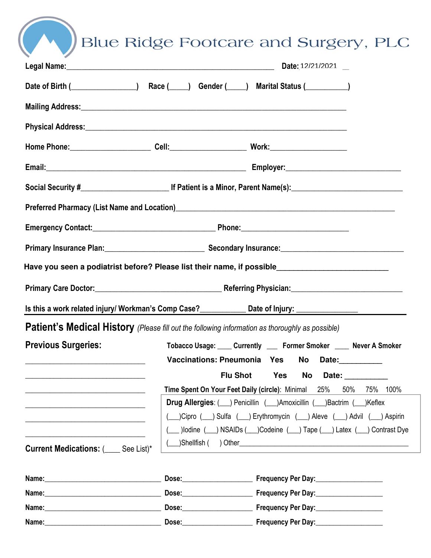Blue Ridge Footcare and Surgery, PLC

|                                                                                                                                                                                                                                |                                                                       | Date: 12/21/2021                                                                                                                                                                                                               |  |  |  |
|--------------------------------------------------------------------------------------------------------------------------------------------------------------------------------------------------------------------------------|-----------------------------------------------------------------------|--------------------------------------------------------------------------------------------------------------------------------------------------------------------------------------------------------------------------------|--|--|--|
|                                                                                                                                                                                                                                |                                                                       | Date of Birth (Changelette Assessment) Race (Changelette Assessment Changelette Assessment Date of Birth (Changelette Assessment Date Of Birth (Changelette Assessment Date Assessment Date Assessment Date Assessment Date As |  |  |  |
|                                                                                                                                                                                                                                |                                                                       |                                                                                                                                                                                                                                |  |  |  |
|                                                                                                                                                                                                                                |                                                                       |                                                                                                                                                                                                                                |  |  |  |
|                                                                                                                                                                                                                                |                                                                       |                                                                                                                                                                                                                                |  |  |  |
|                                                                                                                                                                                                                                |                                                                       |                                                                                                                                                                                                                                |  |  |  |
|                                                                                                                                                                                                                                |                                                                       |                                                                                                                                                                                                                                |  |  |  |
|                                                                                                                                                                                                                                |                                                                       | Preferred Pharmacy (List Name and Location)<br>2020 - The Marmacy (List Name and Location)<br>2020 - The Marmacy School (List Name and Location)                                                                               |  |  |  |
|                                                                                                                                                                                                                                |                                                                       |                                                                                                                                                                                                                                |  |  |  |
|                                                                                                                                                                                                                                |                                                                       |                                                                                                                                                                                                                                |  |  |  |
|                                                                                                                                                                                                                                |                                                                       | Have you seen a podiatrist before? Please list their name, if possible_____________________________                                                                                                                            |  |  |  |
|                                                                                                                                                                                                                                |                                                                       |                                                                                                                                                                                                                                |  |  |  |
|                                                                                                                                                                                                                                |                                                                       |                                                                                                                                                                                                                                |  |  |  |
|                                                                                                                                                                                                                                |                                                                       | <b>Patient's Medical History</b> (Please fill out the following information as thoroughly as possible)                                                                                                                         |  |  |  |
| <b>Previous Surgeries:</b>                                                                                                                                                                                                     | Tobacco Usage: Currently Corner Smoker Consumer A Smoker              |                                                                                                                                                                                                                                |  |  |  |
| <u> 1989 - Jan James James Barbara, martxa al II-lea (h. 1989).</u>                                                                                                                                                            |                                                                       | Vaccinations: Pneumonia Yes No Date:                                                                                                                                                                                           |  |  |  |
|                                                                                                                                                                                                                                |                                                                       | <b>Flu Shot</b><br><b>Yes</b><br>No<br>Date: __________                                                                                                                                                                        |  |  |  |
|                                                                                                                                                                                                                                |                                                                       | Time Spent On Your Feet Daily (circle): Minimal 25%<br>50%<br>75%<br>100%                                                                                                                                                      |  |  |  |
|                                                                                                                                                                                                                                | Drug Allergies: ( ) Penicillin ( ) Amoxicillin ( ) Bactrim ( ) Keflex |                                                                                                                                                                                                                                |  |  |  |
|                                                                                                                                                                                                                                | ( Cipro ( ) Sulfa ( ) Erythromycin ( ) Aleve ( ) Advil ( ) Aspirin    |                                                                                                                                                                                                                                |  |  |  |
|                                                                                                                                                                                                                                |                                                                       | (1) Dodine (2) NSAIDs (2) Codeine (2) Tape (2) Latex (2) Contrast Dye                                                                                                                                                          |  |  |  |
| <b>Current Medications: (___ See List)*</b>                                                                                                                                                                                    |                                                                       |                                                                                                                                                                                                                                |  |  |  |
|                                                                                                                                                                                                                                |                                                                       |                                                                                                                                                                                                                                |  |  |  |
|                                                                                                                                                                                                                                |                                                                       | Dose: Frequency Per Day: Dose:                                                                                                                                                                                                 |  |  |  |
|                                                                                                                                                                                                                                |                                                                       | Dose: Frequency Per Day: 2008.                                                                                                                                                                                                 |  |  |  |
| Name: 2008 2010 2020 2020 2020 2021 2021 2022 2021 2022 2021 2022 2022 2022 2022 2022 2022 2022 2022 2022 2022 2022 2022 2022 2022 2022 2022 2022 2022 2022 2022 2022 2022 2022 2022 2022 2022 2022 2022 2022 2022 2022 2022 2 |                                                                       | Dose: Frequency Per Day: Dose:                                                                                                                                                                                                 |  |  |  |
|                                                                                                                                                                                                                                |                                                                       |                                                                                                                                                                                                                                |  |  |  |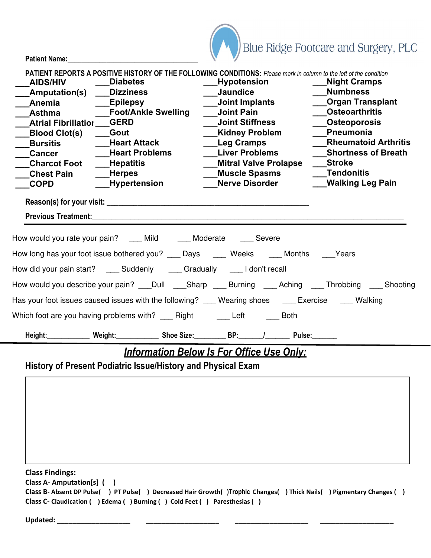Patient Name:



| <b>AIDS/HIV</b><br>_Amputation(s) ____Dizziness<br><b>Anemia</b><br>Asthma<br><b>Atrial Fibrillatior GERD</b><br><b>Blood Clot(s)</b><br><b>Bursitis</b><br><b>Cancer</b><br><b>Charcot Foot</b><br><b>Chest Pain</b><br><b>COPD</b> | <b>PATIENT REPORTS A POSITIVE HISTORY OF THE FOLLOWING CONDITIONS:</b> Please mark in column to the left of the condition<br><b>Diabetes</b><br><b>Epilepsy</b><br>__Foot/Ankle Swelling<br><b>Gout</b><br>____Heart Attack<br><b>Heart Problems</b><br>___Hepatitis<br><b>Herpes</b><br>Hypertension<br>Previous Treatment: New York Street and Street and Street and Street and Street and Street and Street and Street and Street and Street and Street and Street and Street and Street and Street and Street and Street and Street | <b>Jaundice</b><br>Joint Implants<br><b>Joint Pain</b><br><b>Joint Stiffness</b><br><b>Kidney Problem</b><br><b>Leg Cramps</b><br><b>Liver Problems</b><br><b>Mitral Valve Prolapse</b><br><b>Muscle Spasms</b><br><b>Nerve Disorder</b> | Hypotension | ___Night Cramps<br><b>Numbness</b><br><b>Organ Transplant</b><br><b>Osteoarthritis</b><br><b>Osteoporosis</b><br>Pneumonia<br><b>Rheumatoid Arthritis</b><br><b>Shortness of Breath</b><br>Stroke<br><b>Tendonitis</b><br><b>Walking Leg Pain</b> |
|--------------------------------------------------------------------------------------------------------------------------------------------------------------------------------------------------------------------------------------|-----------------------------------------------------------------------------------------------------------------------------------------------------------------------------------------------------------------------------------------------------------------------------------------------------------------------------------------------------------------------------------------------------------------------------------------------------------------------------------------------------------------------------------------|------------------------------------------------------------------------------------------------------------------------------------------------------------------------------------------------------------------------------------------|-------------|---------------------------------------------------------------------------------------------------------------------------------------------------------------------------------------------------------------------------------------------------|
|                                                                                                                                                                                                                                      | How would you rate your pain? ____ Mild _____ Moderate ____ Severe<br>How long has your foot issue bothered you? ____ Days _____ Weeks _____ Months ____Years                                                                                                                                                                                                                                                                                                                                                                           |                                                                                                                                                                                                                                          |             |                                                                                                                                                                                                                                                   |
|                                                                                                                                                                                                                                      | How did your pain start? ____ Suddenly ____ Gradually ____ I don't recall                                                                                                                                                                                                                                                                                                                                                                                                                                                               |                                                                                                                                                                                                                                          |             |                                                                                                                                                                                                                                                   |
|                                                                                                                                                                                                                                      | How would you describe your pain? ___Dull ____Sharp ____Burning ____Aching ____Throbbing ____ Shooting                                                                                                                                                                                                                                                                                                                                                                                                                                  |                                                                                                                                                                                                                                          |             |                                                                                                                                                                                                                                                   |
|                                                                                                                                                                                                                                      | Has your foot issues caused issues with the following? ___ Wearing shoes ___ Exercise ___ Walking                                                                                                                                                                                                                                                                                                                                                                                                                                       |                                                                                                                                                                                                                                          |             |                                                                                                                                                                                                                                                   |
|                                                                                                                                                                                                                                      | Which foot are you having problems with? _____ Right _________ Left ________ Both                                                                                                                                                                                                                                                                                                                                                                                                                                                       |                                                                                                                                                                                                                                          |             |                                                                                                                                                                                                                                                   |
|                                                                                                                                                                                                                                      | Height:_____________ Weight:_____________ Shoe Size:__________ BP:______/________ Pulse:______                                                                                                                                                                                                                                                                                                                                                                                                                                          |                                                                                                                                                                                                                                          |             |                                                                                                                                                                                                                                                   |

## **Information Below Is For Office Use Only:**

History of Present Podiatric Issue/History and Physical Exam

Class Findings:

Class A- Amputation[s] ( )

Class B- Absent DP Pulse() PT Pulse() Decreased Hair Growth()Trophic Changes() Thick Nails() Pigmentary Changes () Class C- Claudication ( ) Edema ( ) Burning ( ) Cold Feet ( ) Paresthesias ( )

Updated: \_\_\_\_\_\_\_\_\_\_\_\_\_\_\_\_\_\_\_ \_\_\_\_\_\_\_\_\_\_\_\_\_\_\_\_\_\_\_ \_\_\_\_\_\_\_\_\_\_\_\_\_\_\_\_\_\_\_ \_\_\_\_\_\_\_\_\_\_\_\_\_\_\_\_\_\_\_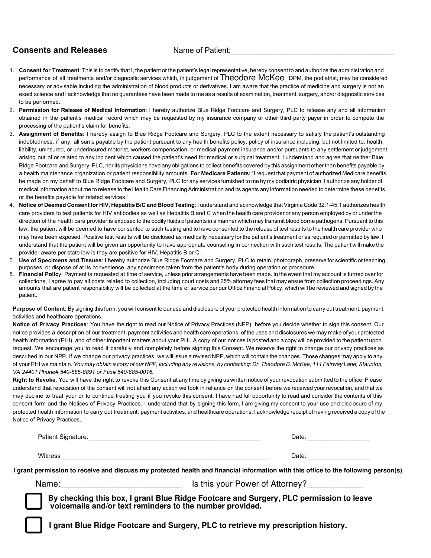#### **Consents and Releases** Name of Patient:

- 1. Consent for Treatment: This is to certify that I, the patient or the patient's legal representative, hereby consent to and authorize the administration and performance of all treatments and/or diagnostic services which, in judgement of  $\tt Theodore Mckee$  DPM, the podiatrist, may be considered necessary or advisable including the administration of blood products or derivatives. I am aware that the practice of medicine and surgery is not an exact science and I acknowledge that no guarantees have been made to me as a results of examination, treatment, surgery, and/or diagnostic services to be performed.
- 2. **Permission for Release of Medical Information** : I hereby authorize Blue Ridge Footcare and Surgery, PLC to release any and all information obtained in the patient's medical record which may be requested by my insurance company or other third party payer in order to compete the processing of the patient's claim for benefits.
- 3. **Assignment of Benefits** : I hereby assign to Blue Ridge Footcare and Surgery, PLC to the extent necessary to satisfy the patient's outstanding indebtedness, if any, all sums payable by the patient pursuant to any health benefits policy, policy of insurance including, but not limited to: health, liability, uninsured, or underinsured motorist, workers compensation, or medical payment insurance and/or pursuants to any settlement or judgement arising out of or related to any incident which caused the patient's need for medical or surgical treatment. I understand and agree that neither Blue Ridge Footcare and Surgery, PLC, nor its physicians have any obligations to collect benefits covered by this assignment other than benefits payable by a health maintenance organization or patient responsibility amounts. **For Medicare Patients:** "I request that payment of authorized Medicare benefits be made on my behalf to Blue Ridge Footcare and Surgery, PLC for any services furnished to me by my podiatric physician. I authorize any holder of medical information about me to release to the Health Care Financing Administration and its agents any information needed to determine these benefits or the benefits payable for related services."
- 4. Notice of Deemed Consent for HIV, Hepatitis B/C and Blood Testing: I understand and acknowledge that Virginia Code 32.1-45.1 authorizes health care providers to test patients for HIV antibodies as well as Hepatitis B and C when the health care provider or any person employed by or under the direction of the health care provider is exposed to the bodily fluids of patients in a manner which may transmit blood borne pathogens. Pursuant to this law, the patient will be deemed to have consented to such testing and to have consented to the release of test results to the health care provider who may have been exposed. Positive test results will be disclosed as medically necessary for the patient's treatment or as required or permitted by law. I understand that the patient will be given an opportunity to have appropriate counseling in connection with such test results. The patient will make the provider aware per state law is they are positive for HIV, Hepatitis B or C.
- 5. Use of Specimens and Tissues: I hereby authorize Blue Ridge Footcare and Surgery, PLC to retain, photograph, preserve for scientific or teaching purposes, or dispose of at its convenience, any specimens taken from the patient's body during operation or procedure.
- 6. Financial Policy: Payment is requested at time of service, unless prior arrangements have been made. In the event that my account is turned over for collections, I agree to pay all costs related to collection, including court costs and 25% attorney fees that may ensue from collection proceedings. Any amounts that are patient responsibility will be collected at the time of service per our Office Financial Policy, which will be reviewed and signed by the patient.

**Purpose of Content:** By signing this form, you will consent to our use and disclosure of your protected health information to carry out treatment, payment activities and healthcare operations.

Notice of Privacy Practices: You have the right to read our Notice of Privacy Practices (NPP) before you decide whether to sign this consent. Our notice provides a description of our treatment, payment activities and health care operations, of the uses and disclosures we may make of your protected health information (PHI), and of other important matters about your PHI. A copy of our notices is posted and a copy will be provided to the patient upon request. We encourage you to read it carefully and completely before signing this Consent. We reserve the right to change our privacy practices as described in our NPP. If we change our privacy practices, we will issue a revised NPP, which will contain the changes. Those changes may apply to any of your PHI we maintain. *You may obtain a copy of our NPP, including any revisions, by contacting: Dr. Theodore B. McKee, 111 Fairway Lane, Staunton, VA 24401 Phone# 540-885-8891 or Fax# 540-885-0016.*

Right to Revoke: You will have the right to revoke this Consent at any time by giving us written notice of your revocation submitted to the office. Please understand that revocation of the consent will not affect any action we took in reliance on the consent before we received your revocation, and that we may decline to treat your or to continue treating you if you revoke this consent. I have had full opportunity to read and consider the contents of this consent form and the Notices of Privacy Practices. I understand that by signing this form, I am giving my consent to your use and disclosure of my protected health information to carry out treatment, payment activities, and healthcare operations. I acknowledge receipt of having received a copy of the Notice of Privacy Practices.

| Patient Signature: | Date: |
|--------------------|-------|
|                    |       |
| Witness            | Date: |

**I grant permission to receive and discuss my protected health and financial information with this office to the following person(s)**

Name:\_\_\_\_\_\_\_\_\_\_\_\_\_\_\_\_\_\_\_\_\_\_\_\_\_\_\_\_\_\_\_\_\_\_\_\_\_\_\_ Relationship:\_\_\_\_\_\_\_\_\_\_\_\_\_\_\_\_ POA: yes / no Name:\_\_\_\_\_\_\_\_\_\_\_\_\_\_\_\_\_\_\_\_\_\_\_\_\_\_ Is this your Power of Attorney?\_\_\_\_\_\_\_\_\_\_\_\_

 **By checking this box, I grant Blue Ridge Footcare and Surgery, PLC permission to leave voicemails and/or text reminders to the number provided.** 

**I grant Blue Ridge Footcare and Surgery, PLC to retrieve my prescription history.**